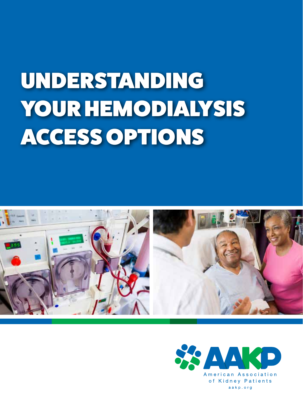# **Understanding**  UNDERSTANDING **Your**  YOUR HEMODIALYSIS **Hemodialysis Access Options** ACCESS OPTIONS



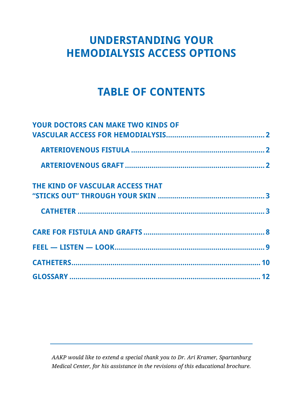## **UNDERSTANDING YOUR HEMODIALYSIS ACCESS OPTIONS**

## **TABLE OF CONTENTS**

| <b>YOUR DOCTORS CAN MAKE TWO KINDS OF</b> |  |
|-------------------------------------------|--|
|                                           |  |
|                                           |  |
|                                           |  |
| THE KIND OF VASCULAR ACCESS THAT          |  |
|                                           |  |
|                                           |  |
|                                           |  |
|                                           |  |
|                                           |  |
|                                           |  |

*AAKP would like to extend a special thank you to Dr. Ari Kramer, Spartanburg Medical Center, for his assistance in the revisions of this educational brochure.*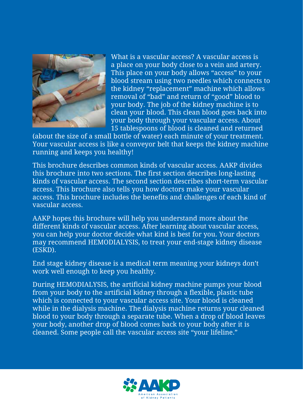

What is a vascular access? A vascular access is a place on your body close to a vein and artery. This place on your body allows "access" to your blood stream using two needles which connects to the kidney "replacement" machine which allows removal of "bad" and return of "good" blood to your body. The job of the kidney machine is to clean your blood. This clean blood goes back into your body through your vascular access. About 15 tablespoons of blood is cleaned and returned

(about the size of a small bottle of water) each minute of your treatment. Your vascular access is like a conveyor belt that keeps the kidney machine running and keeps you healthy!

This brochure describes common kinds of vascular access. AAKP divides this brochure into two sections. The first section describes long-lasting kinds of vascular access. The second section describes short-term vascular access. This brochure also tells you how doctors make your vascular access. This brochure includes the benefits and challenges of each kind of vascular access.

AAKP hopes this brochure will help you understand more about the different kinds of vascular access. After learning about vascular access, you can help your doctor decide what kind is best for you. Your doctors may recommend HEMODIALYSIS, to treat your end-stage kidney disease (ESKD).

End stage kidney disease is a medical term meaning your kidneys don't work well enough to keep you healthy.

During HEMODIALYSIS, the artificial kidney machine pumps your blood from your body to the artificial kidney through a flexible, plastic tube which is connected to your vascular access site. Your blood is cleaned while in the dialysis machine. The dialysis machine returns your cleaned blood to your body through a separate tube. When a drop of blood leaves your body, another drop of blood comes back to your body after it is cleaned. Some people call the vascular access site "your lifeline."

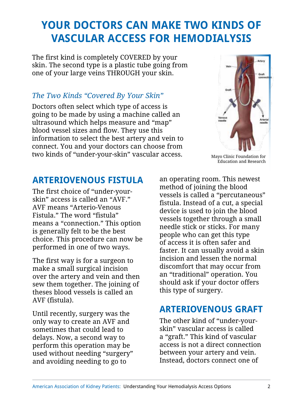# **YOUR DOCTORS CAN MAKE TWO KINDS OF VASCULAR ACCESS FOR HEMODIALYSIS**

The first kind is completely COVERED by your skin. The second type is a plastic tube going from one of your large veins THROUGH your skin.

#### *The Two Kinds "Covered By Your Skin"*

Doctors often select which type of access is going to be made by using a machine called an ultrasound which helps measure and "map" blood vessel sizes and flow. They use this information to select the best artery and vein to connect. You and your doctors can choose from two kinds of "under-your-skin" vascular access.



Mayo Clinic Foundation for Education and Research

#### **ARTERIOVENOUS FISTULA**

The first choice of "under-yourskin" access is called an "AVF." AVF means "Arterio-Venous Fistula." The word "fistula" means a "connection." This option is generally felt to be the best choice. This procedure can now be performed in one of two ways.

The first way is for a surgeon to make a small surgical incision over the artery and vein and then sew them together. The joining of theses blood vessels is called an AVF (fistula).

Until recently, surgery was the only way to create an AVF and sometimes that could lead to delays. Now, a second way to perform this operation may be used without needing "surgery" and avoiding needing to go to

an operating room. This newest method of joining the blood vessels is called a "percutaneous" fistula. Instead of a cut, a special device is used to join the blood vessels together through a small needle stick or sticks. For many people who can get this type of access it is often safer and faster. It can usually avoid a skin incision and lessen the normal discomfort that may occur from an "traditional" operation. You should ask if your doctor offers this type of surgery.

#### **ARTERIOVENOUS GRAFT**

The other kind of "under-yourskin" vascular access is called a "graft." This kind of vascular access is not a direct connection between your artery and vein. Instead, doctors connect one of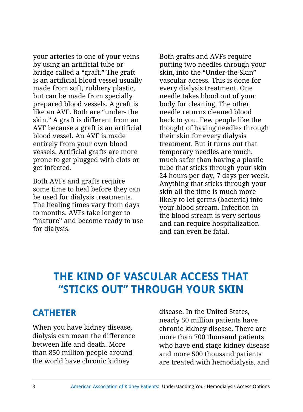your arteries to one of your veins by using an artificial tube or bridge called a "graft." The graft is an artificial blood vessel usually made from soft, rubbery plastic, but can be made from specially prepared blood vessels. A graft is like an AVF. Both are "under- the skin." A graft is different from an AVF because a graft is an artificial blood vessel. An AVF is made entirely from your own blood vessels. Artificial grafts are more prone to get plugged with clots or get infected.

Both AVFs and grafts require some time to heal before they can be used for dialysis treatments. The healing times vary from days to months. AVFs take longer to "mature" and become ready to use for dialysis.

Both grafts and AVFs require putting two needles through your skin, into the "Under-the-Skin" vascular access. This is done for every dialysis treatment. One needle takes blood out of your body for cleaning. The other needle returns cleaned blood back to you. Few people like the thought of having needles through their skin for every dialysis treatment. But it turns out that temporary needles are much, much safer than having a plastic tube that sticks through your skin 24 hours per day, 7 days per week. Anything that sticks through your skin all the time is much more likely to let germs (bacteria) into your blood stream. Infection in the blood stream is very serious and can require hospitalization and can even be fatal.

### **THE KIND OF VASCULAR ACCESS THAT "STICKS OUT" THROUGH YOUR SKIN**

#### **CATHETER**

When you have kidney disease, dialysis can mean the difference between life and death. More than 850 million people around the world have chronic kidney

disease. In the United States, nearly 50 million patients have chronic kidney disease. There are more than 700 thousand patients who have end stage kidney disease and more 500 thousand patients are treated with hemodialysis, and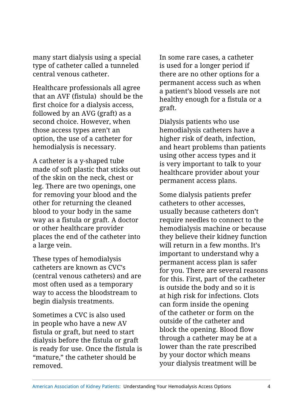many start dialysis using a special type of catheter called a tunneled central venous catheter.

Healthcare professionals all agree that an AVF (fistula) should be the first choice for a dialysis access, followed by an AVG (graft) as a second choice. However, when those access types aren't an option, the use of a catheter for hemodialysis is necessary.

A catheter is a y-shaped tube made of soft plastic that sticks out of the skin on the neck, chest or leg. There are two openings, one for removing your blood and the other for returning the cleaned blood to your body in the same way as a fistula or graft. A doctor or other healthcare provider places the end of the catheter into a large vein.

These types of hemodialysis catheters are known as CVC's (central venous catheters) and are most often used as a temporary way to access the bloodstream to begin dialysis treatments.

Sometimes a CVC is also used in people who have a new AV fistula or graft, but need to start dialysis before the fistula or graft is ready for use. Once the fistula is "mature," the catheter should be removed.

In some rare cases, a catheter is used for a longer period if there are no other options for a permanent access such as when a patient's blood vessels are not healthy enough for a fistula or a graft.

Dialysis patients who use hemodialysis catheters have a higher risk of death, infection, and heart problems than patients using other access types and it is very important to talk to your healthcare provider about your permanent access plans.

Some dialysis patients prefer catheters to other accesses, usually because catheters don't require needles to connect to the hemodialysis machine or because they believe their kidney function will return in a few months. It's important to understand why a permanent access plan is safer for you. There are several reasons for this. First, part of the catheter is outside the body and so it is at high risk for infections. Clots can form inside the opening of the catheter or form on the outside of the catheter and block the opening. Blood flow through a catheter may be at a lower than the rate prescribed by your doctor which means your dialysis treatment will be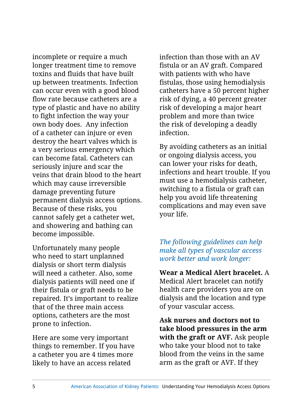incomplete or require a much longer treatment time to remove toxins and fluids that have built up between treatments. Infection can occur even with a good blood flow rate because catheters are a type of plastic and have no ability to fight infection the way your own body does. Any infection of a catheter can injure or even destroy the heart valves which is a very serious emergency which can become fatal. Catheters can seriously injure and scar the veins that drain blood to the heart which may cause irreversible damage preventing future permanent dialysis access options. Because of these risks, you cannot safely get a catheter wet, and showering and bathing can become impossible.

Unfortunately many people who need to start unplanned dialysis or short term dialysis will need a catheter. Also, some dialysis patients will need one if their fistula or graft needs to be repaired. It's important to realize that of the three main access options, catheters are the most prone to infection.

Here are some very important things to remember. If you have a catheter you are 4 times more likely to have an access related

infection than those with an AV fistula or an AV graft. Compared with patients with who have fistulas, those using hemodialysis catheters have a 50 percent higher risk of dying, a 40 percent greater risk of developing a major heart problem and more than twice the risk of developing a deadly infection.

By avoiding catheters as an initial or ongoing dialysis access, you can lower your risks for death, infections and heart trouble. If you must use a hemodialysis catheter, switching to a fistula or graft can help you avoid life threatening complications and may even save your life.

*The following guidelines can help make all types of vascular access work better and work longer:*

**Wear a Medical Alert bracelet.** A Medical Alert bracelet can notify health care providers you are on dialysis and the location and type of your vascular access.

**Ask nurses and doctors not to take blood pressures in the arm with the graft or AVF.** Ask people who take your blood not to take blood from the veins in the same arm as the graft or AVF. If they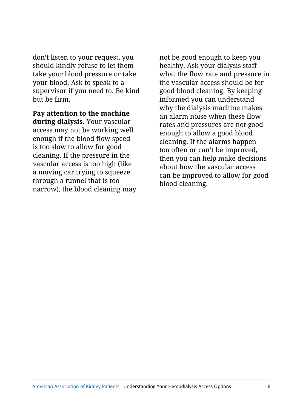don't listen to your request, you should kindly refuse to let them take your blood pressure or take your blood. Ask to speak to a supervisor if you need to. Be kind but be firm.

**Pay attention to the machine during dialysis.** Your vascular access may not be working well enough if the blood flow speed is too slow to allow for good cleaning. If the pressure in the vascular access is too high (like a moving car trying to squeeze through a tunnel that is too narrow), the blood cleaning may

not be good enough to keep you healthy. Ask your dialysis staff what the flow rate and pressure in the vascular access should be for good blood cleaning. By keeping informed you can understand why the dialysis machine makes an alarm noise when these flow rates and pressures are not good enough to allow a good blood cleaning. If the alarms happen too often or can't be improved, then you can help make decisions about how the vascular access can be improved to allow for good blood cleaning.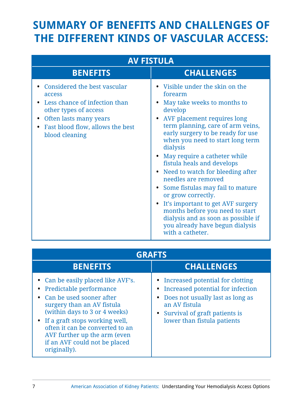# **SUMMARY OF BENEFITS AND CHALLENGES OF THE DIFFERENT KINDS OF VASCULAR ACCESS:**

| <b>AV FISTULA</b>                                                                                                                                                                                                       |                                                                                                                                                                                                                                                                                                                                                                                                                                                                                                                                                                                                                                                                |  |  |
|-------------------------------------------------------------------------------------------------------------------------------------------------------------------------------------------------------------------------|----------------------------------------------------------------------------------------------------------------------------------------------------------------------------------------------------------------------------------------------------------------------------------------------------------------------------------------------------------------------------------------------------------------------------------------------------------------------------------------------------------------------------------------------------------------------------------------------------------------------------------------------------------------|--|--|
| <b>BENEFITS</b>                                                                                                                                                                                                         | <b>CHALLENGES</b>                                                                                                                                                                                                                                                                                                                                                                                                                                                                                                                                                                                                                                              |  |  |
| Considered the best vascular<br>access<br>Less chance of infection than<br>$\bullet$<br>other types of access<br>Often lasts many years<br>$\bullet$<br>Fast blood flow, allows the best<br>$\bullet$<br>blood cleaning | • Visible under the skin on the<br>forearm<br>May take weeks to months to<br>$\bullet$<br>develop<br>• AVF placement requires long<br>term planning, care of arm veins,<br>early surgery to be ready for use<br>when you need to start long term<br>dialysis<br>May require a catheter while<br>$\bullet$<br>fistula heals and develops<br>• Need to watch for bleeding after<br>needles are removed<br>Some fistulas may fail to mature<br>$\bullet$<br>or grow correctly.<br>It's important to get AVF surgery<br>$\bullet$<br>months before you need to start<br>dialysis and as soon as possible if<br>you already have begun dialysis<br>with a catheter. |  |  |

| <b>GRAFTS</b>                                                                                                                                                                                                                                                                                                    |                                                                                                                                                                                              |  |  |
|------------------------------------------------------------------------------------------------------------------------------------------------------------------------------------------------------------------------------------------------------------------------------------------------------------------|----------------------------------------------------------------------------------------------------------------------------------------------------------------------------------------------|--|--|
| <b>BENEFITS</b>                                                                                                                                                                                                                                                                                                  | <b>CHALLENGES</b>                                                                                                                                                                            |  |  |
| • Can be easily placed like AVF's.<br>Predictable performance<br>Can be used sooner after<br>surgery than an AV fistula<br>(within days to 3 or 4 weeks)<br>• If a graft stops working well,<br>often it can be converted to an<br>AVF further up the arm (even<br>if an AVF could not be placed<br>originally). | Increased potential for clotting<br>Increased potential for infection<br>Does not usually last as long as<br>an AV fistula<br>• Survival of graft patients is<br>lower than fistula patients |  |  |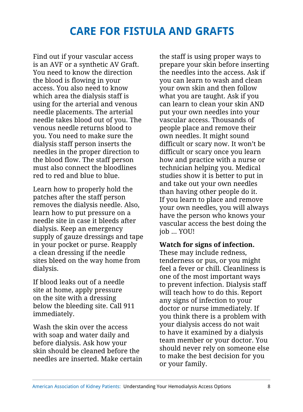## **CARE FOR FISTULA AND GRAFTS**

Find out if your vascular access is an AVF or a synthetic AV Graft. You need to know the direction the blood is flowing in your access. You also need to know which area the dialysis staff is using for the arterial and venous needle placements. The arterial needle takes blood out of you. The venous needle returns blood to you. You need to make sure the dialysis staff person inserts the needles in the proper direction to the blood flow. The staff person must also connect the bloodlines red to red and blue to blue.

Learn how to properly hold the patches after the staff person removes the dialysis needle. Also, learn how to put pressure on a needle site in case it bleeds after dialysis. Keep an emergency supply of gauze dressings and tape in your pocket or purse. Reapply a clean dressing if the needle sites bleed on the way home from dialysis.

If blood leaks out of a needle site at home, apply pressure on the site with a dressing below the bleeding site. Call 911 immediately.

Wash the skin over the access with soap and water daily and before dialysis. Ask how your skin should be cleaned before the needles are inserted. Make certain the staff is using proper ways to prepare your skin before inserting the needles into the access. Ask if you can learn to wash and clean your own skin and then follow what you are taught. Ask if you can learn to clean your skin AND put your own needles into your vascular access. Thousands of people place and remove their own needles. It might sound difficult or scary now. It won't be difficult or scary once you learn how and practice with a nurse or technician helping you. Medical studies show it is better to put in and take out your own needles than having other people do it. If you learn to place and remove your own needles, you will always have the person who knows your vascular access the best doing the job ... YOU!

#### **Watch for signs of infection.**

These may include redness, tenderness or pus, or you might feel a fever or chill. Cleanliness is one of the most important ways to prevent infection. Dialysis staff will teach how to do this. Report any signs of infection to your doctor or nurse immediately. If you think there is a problem with your dialysis access do not wait to have it examined by a dialysis team member or your doctor. You should never rely on someone else to make the best decision for you or your family.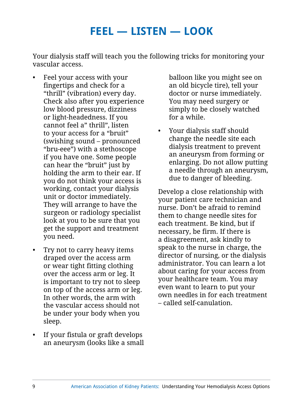## **FEEL — LISTEN — LOOK**

Your dialysis staff will teach you the following tricks for monitoring your vascular access.

- Feel your access with your fingertips and check for a "thrill" (vibration) every day. Check also after you experience low blood pressure, dizziness or light-headedness. If you cannot feel a" thrill", listen to your access for a "bruit" (swishing sound – pronounced "bru-eee") with a stethoscope if you have one. Some people can hear the "bruit" just by holding the arm to their ear. If you do not think your access is working, contact your dialysis unit or doctor immediately. They will arrange to have the surgeon or radiology specialist look at you to be sure that you get the support and treatment you need.
- Try not to carry heavy items draped over the access arm or wear tight fitting clothing over the access arm or leg. It is important to try not to sleep on top of the access arm or leg. In other words, the arm with the vascular access should not be under your body when you sleep.
- If your fistula or graft develops an aneurysm (looks like a small

balloon like you might see on an old bicycle tire), tell your doctor or nurse immediately. You may need surgery or simply to be closely watched for a while.

• Your dialysis staff should change the needle site each dialysis treatment to prevent an aneurysm from forming or enlarging. Do not allow putting a needle through an aneurysm, due to danger of bleeding.

Develop a close relationship with your patient care technician and nurse. Don't be afraid to remind them to change needle sites for each treatment. Be kind, but if necessary, be firm. If there is a disagreement, ask kindly to speak to the nurse in charge, the director of nursing, or the dialysis administrator. You can learn a lot about caring for your access from your healthcare team. You may even want to learn to put your own needles in for each treatment – called self-canulation.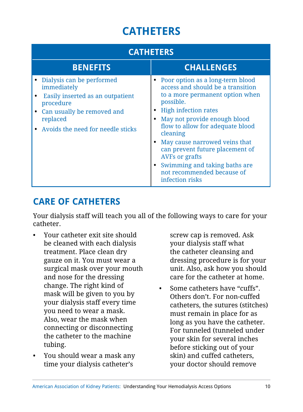# **CATHETERS**

| <b>CATHETERS</b>                                                                                                                                                           |                                                                                                                                                                                                                                                                                                                                                                                                                     |  |  |
|----------------------------------------------------------------------------------------------------------------------------------------------------------------------------|---------------------------------------------------------------------------------------------------------------------------------------------------------------------------------------------------------------------------------------------------------------------------------------------------------------------------------------------------------------------------------------------------------------------|--|--|
| <b>BENEFITS</b>                                                                                                                                                            | <b>CHALLENGES</b>                                                                                                                                                                                                                                                                                                                                                                                                   |  |  |
| Dialysis can be performed<br>immediately<br>Easily inserted as an outpatient<br>procedure<br>Can usually be removed and<br>replaced<br>• Avoids the need for needle sticks | Poor option as a long-term blood<br>access and should be a transition<br>to a more permanent option when<br>possible.<br><b>High infection rates</b><br>May not provide enough blood<br>flow to allow for adequate blood<br>cleaning<br>May cause narrowed veins that<br>can prevent future placement of<br><b>AVFs or grafts</b><br>Swimming and taking baths are<br>not recommended because of<br>infection risks |  |  |

### **CARE OF CATHETERS**

Your dialysis staff will teach you all of the following ways to care for your catheter.

- Your catheter exit site should be cleaned with each dialysis treatment. Place clean dry gauze on it. You must wear a surgical mask over your mouth and nose for the dressing change. The right kind of mask will be given to you by your dialysis staff every time you need to wear a mask. Also, wear the mask when connecting or disconnecting the catheter to the machine tubing.
- You should wear a mask any time your dialysis catheter's

screw cap is removed. Ask your dialysis staff what the catheter cleansing and dressing procedure is for your unit. Also, ask how you should care for the catheter at home.

• Some catheters have "cuffs". Others don't. For non-cuffed catheters, the sutures (stitches) must remain in place for as long as you have the catheter. For tunneled (tunneled under your skin for several inches before sticking out of your skin) and cuffed catheters, your doctor should remove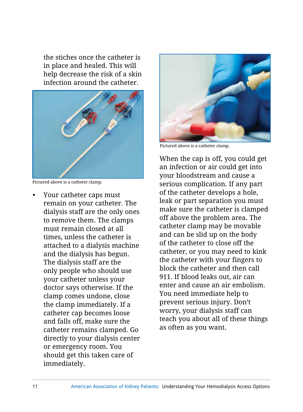the stiches once the catheter is in place and healed. This will help decrease the risk of a skin infection around the catheter.



Pictured above is a catheter clamp.

• Your catheter caps must remain on your catheter. The dialysis staff are the only ones to remove them. The clamps must remain closed at all times, unless the catheter is attached to a dialysis machine and the dialysis has begun. The dialysis staff are the only people who should use your catheter unless your doctor says otherwise. If the clamp comes undone, close the clamp immediately. If a catheter cap becomes loose and falls off, make sure the catheter remains clamped. Go directly to your dialysis center or emergency room. You should get this taken care of immediately.



Pictured above is a catheter clamp.

When the cap is off, you could get an infection or air could get into your bloodstream and cause a serious complication. If any part of the catheter develops a hole, leak or part separation you must make sure the catheter is clamped off above the problem area. The catheter clamp may be movable and can be slid up on the body of the catheter to close off the catheter, or you may need to kink the catheter with your fingers to block the catheter and then call 911. If blood leaks out, air can enter and cause an air embolism. You need immediate help to prevent serious injury. Don't worry, your dialysis staff can teach you about all of these things as often as you want.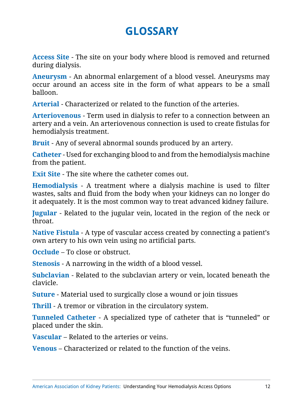# **GLOSSARY**

**Access Site** - The site on your body where blood is removed and returned during dialysis.

**Aneurysm** - An abnormal enlargement of a blood vessel. Aneurysms may occur around an access site in the form of what appears to be a small balloon.

**Arterial** - Characterized or related to the function of the arteries.

**Arteriovenous** - Term used in dialysis to refer to a connection between an artery and a vein. An arteriovenous connection is used to create fistulas for hemodialysis treatment.

**Bruit** - Any of several abnormal sounds produced by an artery.

**Catheter** - Used for exchanging blood to and from the hemodialysis machine from the patient.

**Exit Site** - The site where the catheter comes out.

**Hemodialysis** - A treatment where a dialysis machine is used to filter wastes, salts and fluid from the body when your kidneys can no longer do it adequately. It is the most common way to treat advanced kidney failure.

**Jugular** - Related to the jugular vein, located in the region of the neck or throat.

**Native Fistula** - A type of vascular access created by connecting a patient's own artery to his own vein using no artificial parts.

**Occlude** – To close or obstruct.

**Stenosis** - A narrowing in the width of a blood vessel.

**Subclavian** - Related to the subclavian artery or vein, located beneath the clavicle.

**Suture** - Material used to surgically close a wound or join tissues

**Thrill** - A tremor or vibration in the circulatory system.

**Tunneled Catheter** - A specialized type of catheter that is "tunneled" or placed under the skin.

**Vascular** – Related to the arteries or veins.

**Venous** – Characterized or related to the function of the veins.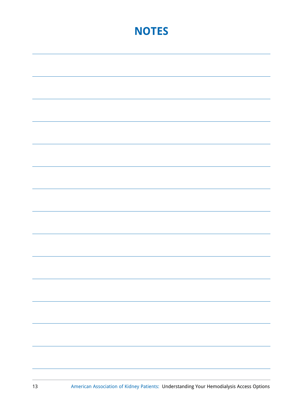# **NOTES**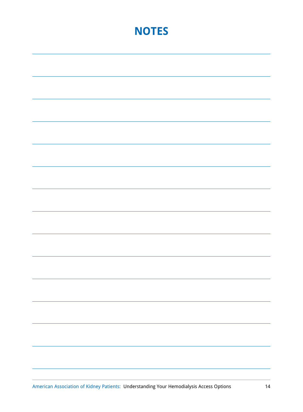# **NOTES**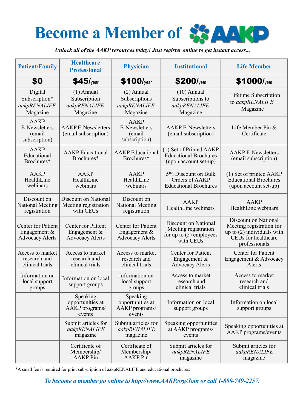# **Become a Member** of **88 AAKD**

*Unlock all of the AAKP resources today! Just register online to get instant access...*

| <b>Patient/Family</b>                                            | <b>Healthcare</b><br><b>Professional</b>                       | <b>Physician</b>                                               | <b>Institutional</b>                                                                   | <b>Life Member</b>                                                                                                       |
|------------------------------------------------------------------|----------------------------------------------------------------|----------------------------------------------------------------|----------------------------------------------------------------------------------------|--------------------------------------------------------------------------------------------------------------------------|
| \$0                                                              | $$45/$ year                                                    | $$100$ /year                                                   | \$200/year                                                                             | \$1000/year                                                                                                              |
| Digital<br>Subscription*<br>aakpRENALIFE<br>Magazine             | $(1)$ Annual<br>Subscription<br>aakpRENALIFE<br>Magazine       | $(2)$ Annual<br>Subscriptions<br>aakpRENALIFE<br>Magazine      | $(10)$ Annual<br>Subscriptions to<br>aakpRENALIFE<br>Magazine                          | Lifetime Subscription<br>to aakpRENALIFE<br>Magazine                                                                     |
| <b>AAKP</b><br>E-Newsletters<br><i>(email</i> )<br>subscription) | <b>AAKPE-Newsletters</b><br>(email subscription)               | <b>AAKP</b><br>E-Newsletters<br>(email<br>subscription)        | <b>AAKP E-Newsletters</b><br>(email subscription)                                      | Life Member Pin $&$<br>Certificate                                                                                       |
| <b>AAKP</b><br>Educational<br>Brochures*                         | <b>AAKP</b> Educational<br>Brochures*                          | <b>AAKP</b> Educational<br>Brochures*                          | (1) Set of Printed AAKP<br><b>Educational Brochures</b><br>(upon account set-up)       | <b>AAKP E-Newsletters</b><br>(email subscription)                                                                        |
| <b>AAKP</b><br>HealthLine<br>webinars                            | <b>AAKP</b><br>HealthLine<br>webinars                          | AAKP<br>HealthLine<br>webinars                                 | 5% Discount on Bulk<br>Orders of AAKP<br><b>Educational Brochures</b>                  | (1) Set of printed AAKP<br><b>Educational Brochures</b><br>(upon account set-up)                                         |
| Discount on<br>National Meeting<br>registration                  | Discount on National<br>Meeting registration<br>with CEUs      | Discount on<br>National Meeting<br>registration                | AAKP<br>HealthLine webinars                                                            | AAKP<br>HealthLine webinars                                                                                              |
| Center for Patient<br>Engagement $\&$<br><b>Advocacy Alerts</b>  | Center for Patient<br>Engagement $&$<br><b>Advocacy Alerts</b> | Center for Patient<br>Engagement $&$<br><b>Advocacy Alerts</b> | Discount on National<br>Meeting registration<br>for up to $(5)$ employees<br>with CEUs | Discount on National<br>Meeting registration for<br>up to $(2)$ individuals with<br>CEUs for healthcare<br>professionals |
| Access to market<br>research and<br>clinical trials              | Access to market<br>research and<br>clinical trials            | Access to market<br>research and<br>clinical trials            | Center for Patient<br>Engagement $\&$<br><b>Advocacy Alerts</b>                        | Center for Patient<br>Engagement & Advocacy<br>Alerts                                                                    |
| Information on<br>local support<br>groups                        | Information on local<br>support groups                         | Information on<br>local support<br>groups                      | Access to market<br>research and<br>clinical trials                                    | Access to market<br>research and<br>clinical trials                                                                      |
|                                                                  | Speaking<br>opportunities at<br>AAKP programs/<br>events       | Speaking<br>opportunities at<br>AAKP programs/<br>events       | Information on local<br>support groups                                                 | Information on local<br>support groups                                                                                   |
|                                                                  | Submit articles for<br>aakpRENALIFE<br>magazine                | Submit articles for<br>aakpRENALIFE<br>magazine                | Speaking opportunities<br>at AAKP programs/<br>events                                  | Speaking opportunities at<br>AAKP programs/events                                                                        |
|                                                                  | Certificate of<br>Membership/<br><b>AAKP</b> Pin               | Certificate of<br>Membership/<br><b>AAKP</b> Pin               | Submit articles for<br>aakpRENALIFE<br>magazine                                        | Submit articles for<br>aakpRENALIFE<br>magazine                                                                          |

\*A small fee is required for print subscription of aakpRENALIFE and educational brochures.

*To become a member go online to http://www.AAKP.org/Join or call 1-800-749-2257.*